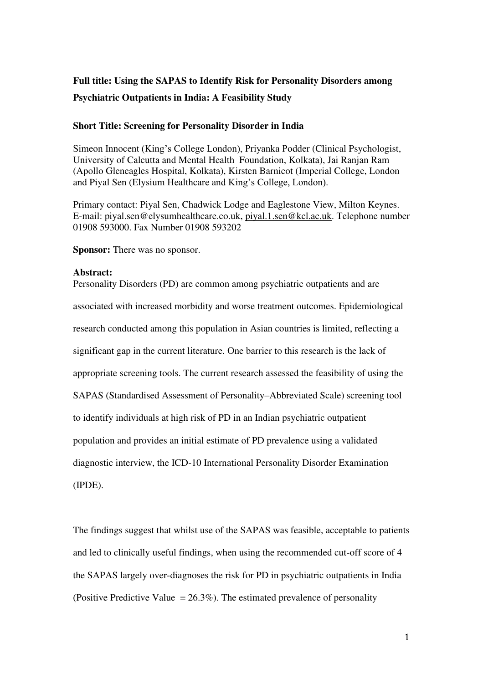# **Full title: Using the SAPAS to Identify Risk for Personality Disorders among Psychiatric Outpatients in India: A Feasibility Study**

# **Short Title: Screening for Personality Disorder in India**

Simeon Innocent (King's College London), Priyanka Podder (Clinical Psychologist, University of Calcutta and Mental Health Foundation, Kolkata), Jai Ranjan Ram (Apollo Gleneagles Hospital, Kolkata), Kirsten Barnicot (Imperial College, London and Piyal Sen (Elysium Healthcare and King's College, London).

Primary contact: Piyal Sen, Chadwick Lodge and Eaglestone View, Milton Keynes. E-mail: piyal.sen@elysumhealthcare.co.uk, [piyal.1.sen@kcl.ac.uk.](mailto:piyal.1.sen@kcl.ac.uk) Telephone number 01908 593000. Fax Number 01908 593202

**Sponsor:** There was no sponsor.

## **Abstract:**

Personality Disorders (PD) are common among psychiatric outpatients and are associated with increased morbidity and worse treatment outcomes. Epidemiological research conducted among this population in Asian countries is limited, reflecting a significant gap in the current literature. One barrier to this research is the lack of appropriate screening tools. The current research assessed the feasibility of using the SAPAS (Standardised Assessment of Personality–Abbreviated Scale) screening tool to identify individuals at high risk of PD in an Indian psychiatric outpatient population and provides an initial estimate of PD prevalence using a validated diagnostic interview, the ICD-10 International Personality Disorder Examination (IPDE).

The findings suggest that whilst use of the SAPAS was feasible, acceptable to patients and led to clinically useful findings, when using the recommended cut-off score of 4 the SAPAS largely over-diagnoses the risk for PD in psychiatric outpatients in India (Positive Predictive Value  $= 26.3\%$ ). The estimated prevalence of personality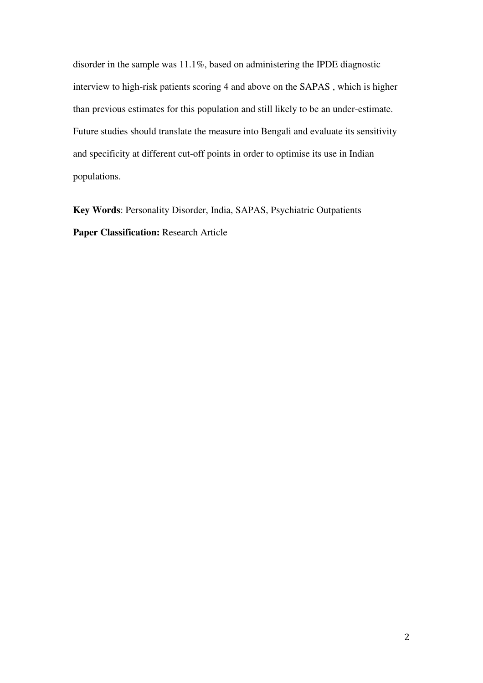disorder in the sample was 11.1%, based on administering the IPDE diagnostic interview to high-risk patients scoring 4 and above on the SAPAS , which is higher than previous estimates for this population and still likely to be an under-estimate. Future studies should translate the measure into Bengali and evaluate its sensitivity and specificity at different cut-off points in order to optimise its use in Indian populations.

**Key Words**: Personality Disorder, India, SAPAS, Psychiatric Outpatients **Paper Classification:** Research Article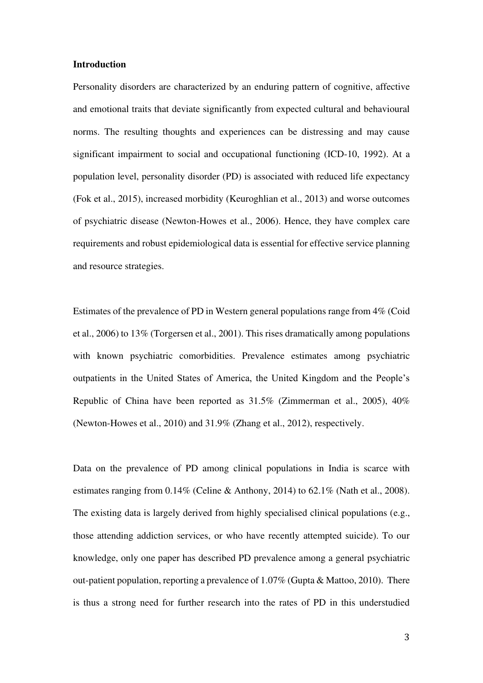#### **Introduction**

Personality disorders are characterized by an enduring pattern of cognitive, affective and emotional traits that deviate significantly from expected cultural and behavioural norms. The resulting thoughts and experiences can be distressing and may cause significant impairment to social and occupational functioning (ICD-10, 1992). At a population level, personality disorder (PD) is associated with reduced life expectancy (Fok et al., 2015), increased morbidity (Keuroghlian et al., 2013) and worse outcomes of psychiatric disease (Newton-Howes et al., 2006). Hence, they have complex care requirements and robust epidemiological data is essential for effective service planning and resource strategies.

Estimates of the prevalence of PD in Western general populations range from 4% (Coid et al., 2006) to 13% (Torgersen et al., 2001). This rises dramatically among populations with known psychiatric comorbidities. Prevalence estimates among psychiatric outpatients in the United States of America, the United Kingdom and the People's Republic of China have been reported as 31.5% (Zimmerman et al., 2005), 40% (Newton-Howes et al., 2010) and 31.9% (Zhang et al., 2012), respectively.

Data on the prevalence of PD among clinical populations in India is scarce with estimates ranging from 0.14% (Celine & Anthony, 2014) to 62.1% (Nath et al., 2008). The existing data is largely derived from highly specialised clinical populations (e.g., those attending addiction services, or who have recently attempted suicide). To our knowledge, only one paper has described PD prevalence among a general psychiatric out-patient population, reporting a prevalence of 1.07% (Gupta & Mattoo, 2010). There is thus a strong need for further research into the rates of PD in this understudied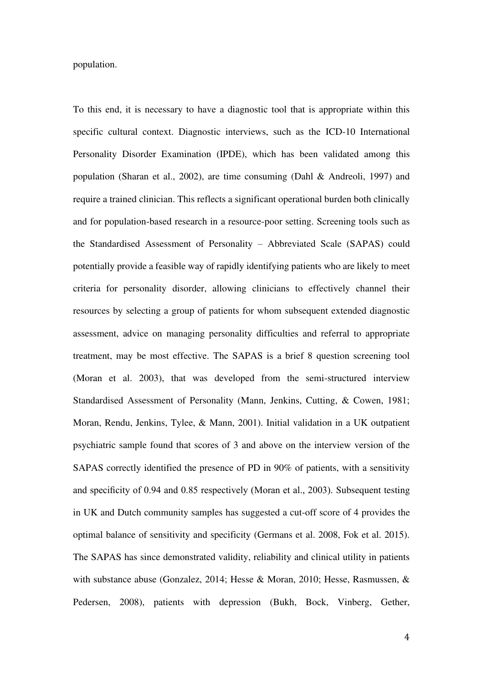population.

To this end, it is necessary to have a diagnostic tool that is appropriate within this specific cultural context. Diagnostic interviews, such as the ICD-10 International Personality Disorder Examination (IPDE), which has been validated among this population (Sharan et al., 2002), are time consuming (Dahl & Andreoli, 1997) and require a trained clinician. This reflects a significant operational burden both clinically and for population-based research in a resource-poor setting. Screening tools such as the Standardised Assessment of Personality – Abbreviated Scale (SAPAS) could potentially provide a feasible way of rapidly identifying patients who are likely to meet criteria for personality disorder, allowing clinicians to effectively channel their resources by selecting a group of patients for whom subsequent extended diagnostic assessment, advice on managing personality difficulties and referral to appropriate treatment, may be most effective. The SAPAS is a brief 8 question screening tool (Moran et al. 2003), that was developed from the semi-structured interview Standardised Assessment of Personality (Mann, Jenkins, Cutting, & Cowen, 1981; Moran, Rendu, Jenkins, Tylee, & Mann, 2001). Initial validation in a UK outpatient psychiatric sample found that scores of 3 and above on the interview version of the SAPAS correctly identified the presence of PD in 90% of patients, with a sensitivity and specificity of 0.94 and 0.85 respectively (Moran et al., 2003). Subsequent testing in UK and Dutch community samples has suggested a cut-off score of 4 provides the optimal balance of sensitivity and specificity (Germans et al. 2008, Fok et al. 2015). The SAPAS has since demonstrated validity, reliability and clinical utility in patients with substance abuse (Gonzalez, 2014; Hesse & Moran, 2010; Hesse, Rasmussen, & Pedersen, 2008), patients with depression (Bukh, Bock, Vinberg, Gether,

4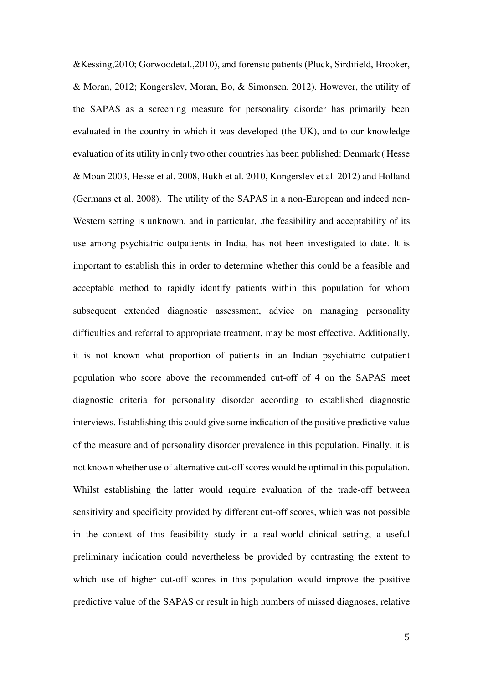&Kessing,2010; Gorwoodetal.,2010), and forensic patients (Pluck, Sirdifield, Brooker, & Moran, 2012; Kongerslev, Moran, Bo, & Simonsen, 2012). However, the utility of the SAPAS as a screening measure for personality disorder has primarily been evaluated in the country in which it was developed (the UK), and to our knowledge evaluation of its utility in only two other countries has been published: Denmark ( Hesse & Moan 2003, Hesse et al. 2008, Bukh et al. 2010, Kongerslev et al. 2012) and Holland (Germans et al. 2008). The utility of the SAPAS in a non-European and indeed non-Western setting is unknown, and in particular, .the feasibility and acceptability of its use among psychiatric outpatients in India, has not been investigated to date. It is important to establish this in order to determine whether this could be a feasible and acceptable method to rapidly identify patients within this population for whom subsequent extended diagnostic assessment, advice on managing personality difficulties and referral to appropriate treatment, may be most effective. Additionally, it is not known what proportion of patients in an Indian psychiatric outpatient population who score above the recommended cut-off of 4 on the SAPAS meet diagnostic criteria for personality disorder according to established diagnostic interviews. Establishing this could give some indication of the positive predictive value of the measure and of personality disorder prevalence in this population. Finally, it is not known whether use of alternative cut-off scores would be optimal in this population. Whilst establishing the latter would require evaluation of the trade-off between sensitivity and specificity provided by different cut-off scores, which was not possible in the context of this feasibility study in a real-world clinical setting, a useful preliminary indication could nevertheless be provided by contrasting the extent to which use of higher cut-off scores in this population would improve the positive predictive value of the SAPAS or result in high numbers of missed diagnoses, relative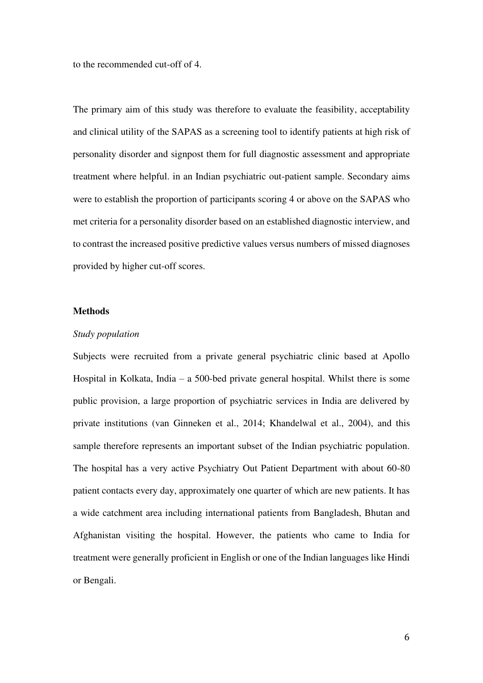to the recommended cut-off of 4.

The primary aim of this study was therefore to evaluate the feasibility, acceptability and clinical utility of the SAPAS as a screening tool to identify patients at high risk of personality disorder and signpost them for full diagnostic assessment and appropriate treatment where helpful. in an Indian psychiatric out-patient sample. Secondary aims were to establish the proportion of participants scoring 4 or above on the SAPAS who met criteria for a personality disorder based on an established diagnostic interview, and to contrast the increased positive predictive values versus numbers of missed diagnoses provided by higher cut-off scores.

#### **Methods**

#### *Study population*

Subjects were recruited from a private general psychiatric clinic based at Apollo Hospital in Kolkata, India – a 500-bed private general hospital. Whilst there is some public provision, a large proportion of psychiatric services in India are delivered by private institutions (van Ginneken et al., 2014; Khandelwal et al., 2004), and this sample therefore represents an important subset of the Indian psychiatric population. The hospital has a very active Psychiatry Out Patient Department with about 60-80 patient contacts every day, approximately one quarter of which are new patients. It has a wide catchment area including international patients from Bangladesh, Bhutan and Afghanistan visiting the hospital. However, the patients who came to India for treatment were generally proficient in English or one of the Indian languages like Hindi or Bengali.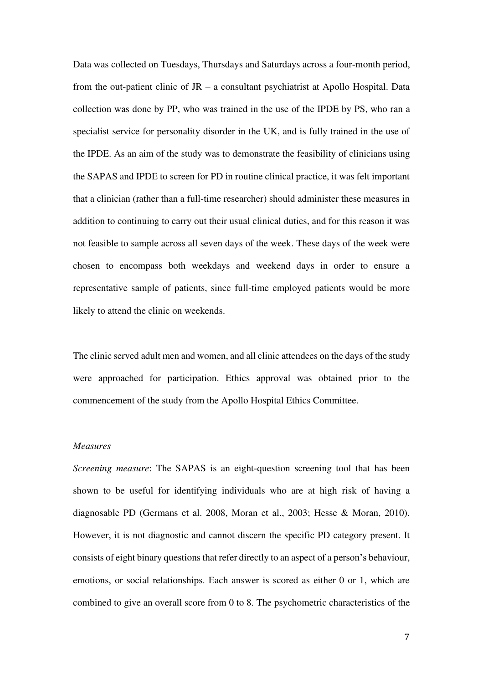Data was collected on Tuesdays, Thursdays and Saturdays across a four-month period, from the out-patient clinic of JR – a consultant psychiatrist at Apollo Hospital. Data collection was done by PP, who was trained in the use of the IPDE by PS, who ran a specialist service for personality disorder in the UK, and is fully trained in the use of the IPDE. As an aim of the study was to demonstrate the feasibility of clinicians using the SAPAS and IPDE to screen for PD in routine clinical practice, it was felt important that a clinician (rather than a full-time researcher) should administer these measures in addition to continuing to carry out their usual clinical duties, and for this reason it was not feasible to sample across all seven days of the week. These days of the week were chosen to encompass both weekdays and weekend days in order to ensure a representative sample of patients, since full-time employed patients would be more likely to attend the clinic on weekends.

The clinic served adult men and women, and all clinic attendees on the days of the study were approached for participation. Ethics approval was obtained prior to the commencement of the study from the Apollo Hospital Ethics Committee.

#### *Measures*

*Screening measure*: The SAPAS is an eight-question screening tool that has been shown to be useful for identifying individuals who are at high risk of having a diagnosable PD (Germans et al. 2008, Moran et al., 2003; Hesse & Moran, 2010). However, it is not diagnostic and cannot discern the specific PD category present. It consists of eight binary questions that refer directly to an aspect of a person's behaviour, emotions, or social relationships. Each answer is scored as either 0 or 1, which are combined to give an overall score from 0 to 8. The psychometric characteristics of the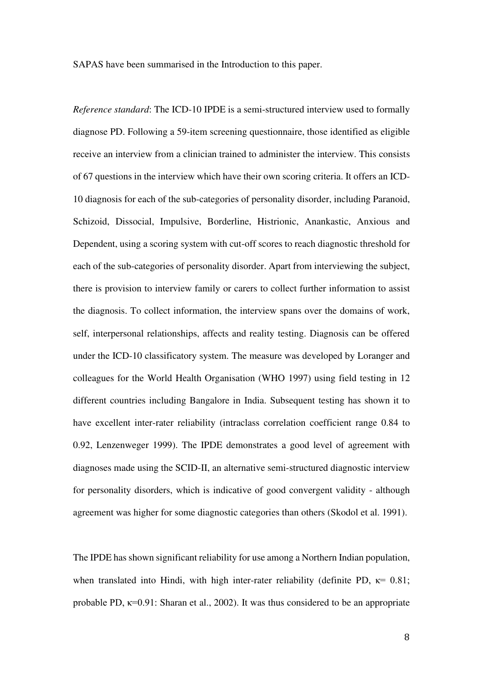SAPAS have been summarised in the Introduction to this paper.

*Reference standard*: The ICD-10 IPDE is a semi-structured interview used to formally diagnose PD. Following a 59-item screening questionnaire, those identified as eligible receive an interview from a clinician trained to administer the interview. This consists of 67 questions in the interview which have their own scoring criteria. It offers an ICD-10 diagnosis for each of the sub-categories of personality disorder, including Paranoid, Schizoid, Dissocial, Impulsive, Borderline, Histrionic, Anankastic, Anxious and Dependent, using a scoring system with cut-off scores to reach diagnostic threshold for each of the sub-categories of personality disorder. Apart from interviewing the subject, there is provision to interview family or carers to collect further information to assist the diagnosis. To collect information, the interview spans over the domains of work, self, interpersonal relationships, affects and reality testing. Diagnosis can be offered under the ICD-10 classificatory system. The measure was developed by Loranger and colleagues for the World Health Organisation (WHO 1997) using field testing in 12 different countries including Bangalore in India. Subsequent testing has shown it to have excellent inter-rater reliability (intraclass correlation coefficient range 0.84 to 0.92, Lenzenweger 1999). The IPDE demonstrates a good level of agreement with diagnoses made using the SCID-II, an alternative semi-structured diagnostic interview for personality disorders, which is indicative of good convergent validity - although agreement was higher for some diagnostic categories than others (Skodol et al. 1991).

The IPDE has shown significant reliability for use among a Northern Indian population, when translated into Hindi, with high inter-rater reliability (definite PD,  $\kappa$  = 0.81; probable PD,  $\kappa$ =0.91: Sharan et al., 2002). It was thus considered to be an appropriate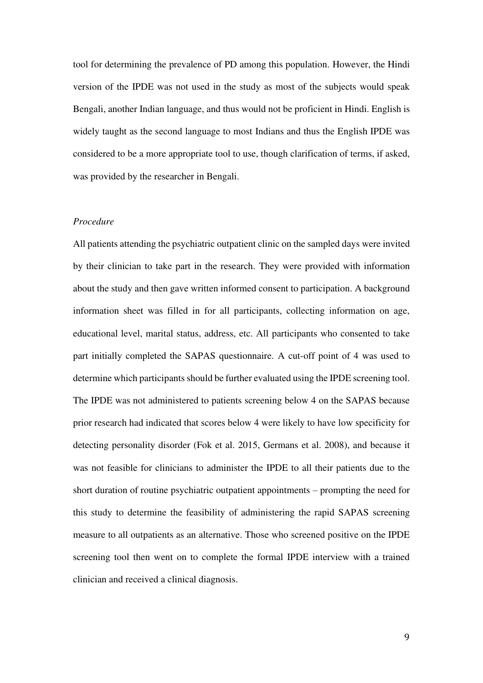tool for determining the prevalence of PD among this population. However, the Hindi version of the IPDE was not used in the study as most of the subjects would speak Bengali, another Indian language, and thus would not be proficient in Hindi. English is widely taught as the second language to most Indians and thus the English IPDE was considered to be a more appropriate tool to use, though clarification of terms, if asked, was provided by the researcher in Bengali.

# *Procedure*

All patients attending the psychiatric outpatient clinic on the sampled days were invited by their clinician to take part in the research. They were provided with information about the study and then gave written informed consent to participation. A background information sheet was filled in for all participants, collecting information on age, educational level, marital status, address, etc. All participants who consented to take part initially completed the SAPAS questionnaire. A cut-off point of 4 was used to determine which participants should be further evaluated using the IPDE screening tool. The IPDE was not administered to patients screening below 4 on the SAPAS because prior research had indicated that scores below 4 were likely to have low specificity for detecting personality disorder (Fok et al. 2015, Germans et al. 2008), and because it was not feasible for clinicians to administer the IPDE to all their patients due to the short duration of routine psychiatric outpatient appointments – prompting the need for this study to determine the feasibility of administering the rapid SAPAS screening measure to all outpatients as an alternative. Those who screened positive on the IPDE screening tool then went on to complete the formal IPDE interview with a trained clinician and received a clinical diagnosis.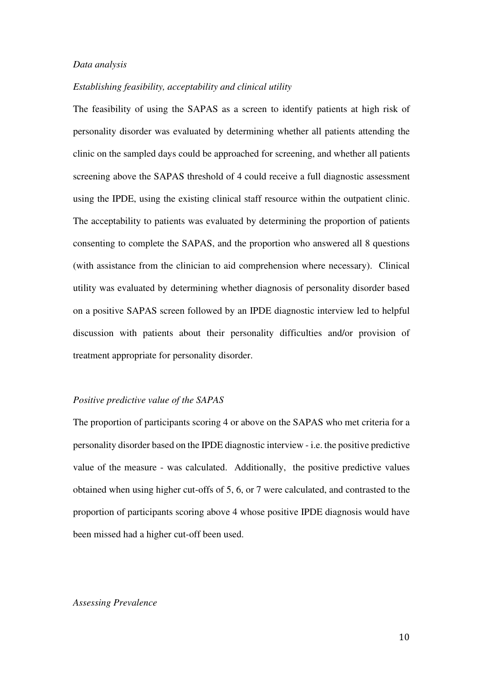#### *Data analysis*

## *Establishing feasibility, acceptability and clinical utility*

The feasibility of using the SAPAS as a screen to identify patients at high risk of personality disorder was evaluated by determining whether all patients attending the clinic on the sampled days could be approached for screening, and whether all patients screening above the SAPAS threshold of 4 could receive a full diagnostic assessment using the IPDE, using the existing clinical staff resource within the outpatient clinic. The acceptability to patients was evaluated by determining the proportion of patients consenting to complete the SAPAS, and the proportion who answered all 8 questions (with assistance from the clinician to aid comprehension where necessary). Clinical utility was evaluated by determining whether diagnosis of personality disorder based on a positive SAPAS screen followed by an IPDE diagnostic interview led to helpful discussion with patients about their personality difficulties and/or provision of treatment appropriate for personality disorder.

#### *Positive predictive value of the SAPAS*

The proportion of participants scoring 4 or above on the SAPAS who met criteria for a personality disorder based on the IPDE diagnostic interview - i.e. the positive predictive value of the measure - was calculated. Additionally, the positive predictive values obtained when using higher cut-offs of 5, 6, or 7 were calculated, and contrasted to the proportion of participants scoring above 4 whose positive IPDE diagnosis would have been missed had a higher cut-off been used.

## *Assessing Prevalence*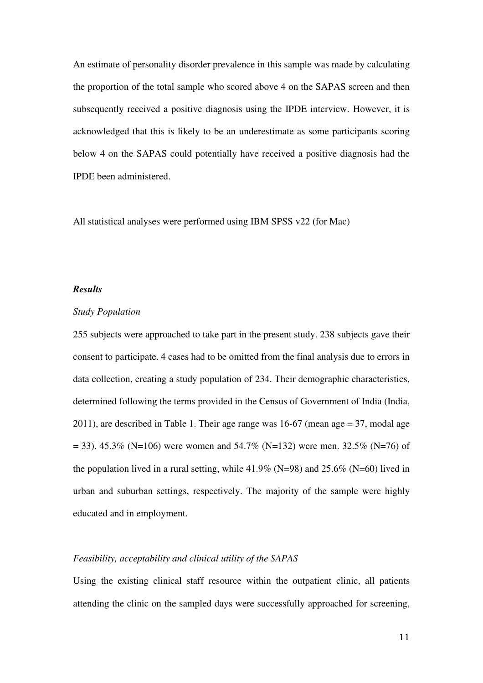An estimate of personality disorder prevalence in this sample was made by calculating the proportion of the total sample who scored above 4 on the SAPAS screen and then subsequently received a positive diagnosis using the IPDE interview. However, it is acknowledged that this is likely to be an underestimate as some participants scoring below 4 on the SAPAS could potentially have received a positive diagnosis had the IPDE been administered.

All statistical analyses were performed using IBM SPSS v22 (for Mac)

# *Results*

#### *Study Population*

255 subjects were approached to take part in the present study. 238 subjects gave their consent to participate. 4 cases had to be omitted from the final analysis due to errors in data collection, creating a study population of 234. Their demographic characteristics, determined following the terms provided in the Census of Government of India (India, 2011), are described in Table 1. Their age range was 16-67 (mean age = 37, modal age  $= 33$ ). 45.3% (N=106) were women and 54.7% (N=132) were men. 32.5% (N=76) of the population lived in a rural setting, while  $41.9\%$  (N=98) and  $25.6\%$  (N=60) lived in urban and suburban settings, respectively. The majority of the sample were highly educated and in employment.

# *Feasibility, acceptability and clinical utility of the SAPAS*

Using the existing clinical staff resource within the outpatient clinic, all patients attending the clinic on the sampled days were successfully approached for screening,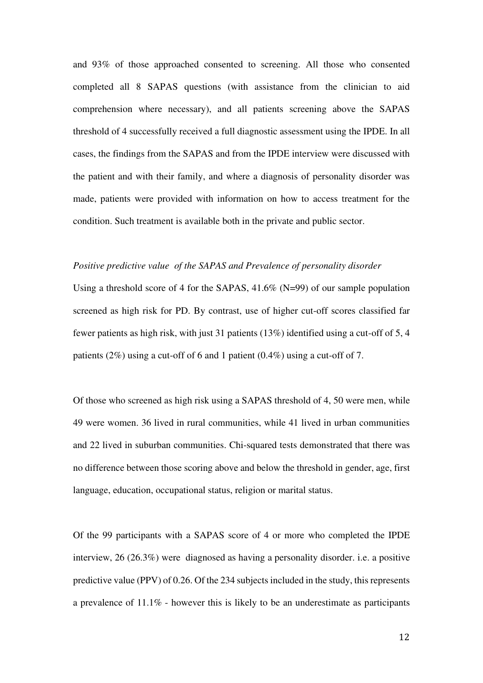and 93% of those approached consented to screening. All those who consented completed all 8 SAPAS questions (with assistance from the clinician to aid comprehension where necessary), and all patients screening above the SAPAS threshold of 4 successfully received a full diagnostic assessment using the IPDE. In all cases, the findings from the SAPAS and from the IPDE interview were discussed with the patient and with their family, and where a diagnosis of personality disorder was made, patients were provided with information on how to access treatment for the condition. Such treatment is available both in the private and public sector.

## *Positive predictive value of the SAPAS and Prevalence of personality disorder*

Using a threshold score of 4 for the SAPAS, 41.6% (N=99) of our sample population screened as high risk for PD. By contrast, use of higher cut-off scores classified far fewer patients as high risk, with just 31 patients (13%) identified using a cut-off of 5, 4 patients (2%) using a cut-off of 6 and 1 patient (0.4%) using a cut-off of 7.

Of those who screened as high risk using a SAPAS threshold of 4, 50 were men, while 49 were women. 36 lived in rural communities, while 41 lived in urban communities and 22 lived in suburban communities. Chi-squared tests demonstrated that there was no difference between those scoring above and below the threshold in gender, age, first language, education, occupational status, religion or marital status.

Of the 99 participants with a SAPAS score of 4 or more who completed the IPDE interview, 26 (26.3%) were diagnosed as having a personality disorder. i.e. a positive predictive value (PPV) of 0.26. Of the 234 subjects included in the study, this represents a prevalence of 11.1% - however this is likely to be an underestimate as participants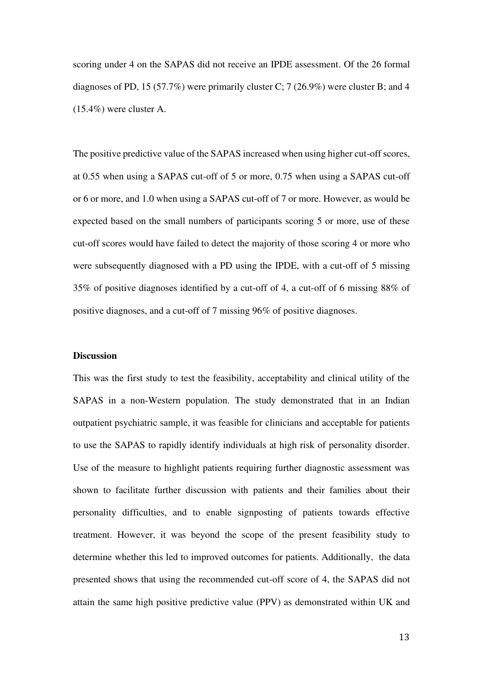scoring under 4 on the SAPAS did not receive an IPDE assessment. Of the 26 formal diagnoses of PD, 15 (57.7%) were primarily cluster C; 7 (26.9%) were cluster B; and 4 (15.4%) were cluster A.

The positive predictive value of the SAPAS increased when using higher cut-off scores, at 0.55 when using a SAPAS cut-off of 5 or more, 0.75 when using a SAPAS cut-off or 6 or more, and 1.0 when using a SAPAS cut-off of 7 or more. However, as would be expected based on the small numbers of participants scoring 5 or more, use of these cut-off scores would have failed to detect the majority of those scoring 4 or more who were subsequently diagnosed with a PD using the IPDE, with a cut-off of 5 missing 35% of positive diagnoses identified by a cut-off of 4, a cut-off of 6 missing 88% of positive diagnoses, and a cut-off of 7 missing 96% of positive diagnoses.

## **Discussion**

This was the first study to test the feasibility, acceptability and clinical utility of the SAPAS in a non-Western population. The study demonstrated that in an Indian outpatient psychiatric sample, it was feasible for clinicians and acceptable for patients to use the SAPAS to rapidly identify individuals at high risk of personality disorder. Use of the measure to highlight patients requiring further diagnostic assessment was shown to facilitate further discussion with patients and their families about their personality difficulties, and to enable signposting of patients towards effective treatment. However, it was beyond the scope of the present feasibility study to determine whether this led to improved outcomes for patients. Additionally, the data presented shows that using the recommended cut-off score of 4, the SAPAS did not attain the same high positive predictive value (PPV) as demonstrated within UK and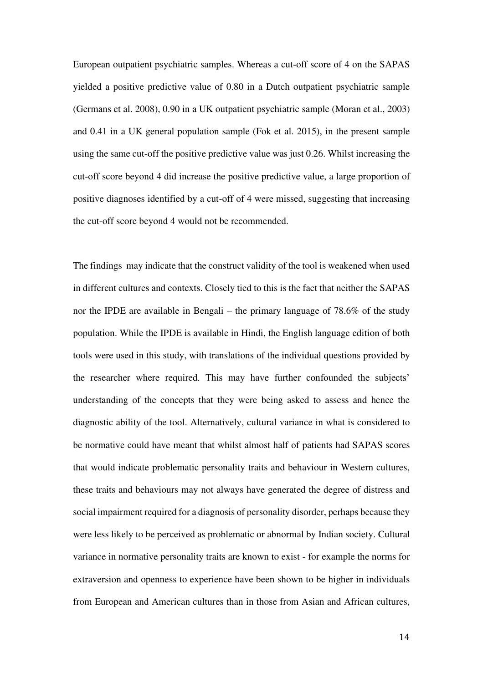European outpatient psychiatric samples. Whereas a cut-off score of 4 on the SAPAS yielded a positive predictive value of 0.80 in a Dutch outpatient psychiatric sample (Germans et al. 2008), 0.90 in a UK outpatient psychiatric sample (Moran et al., 2003) and 0.41 in a UK general population sample (Fok et al. 2015), in the present sample using the same cut-off the positive predictive value was just 0.26. Whilst increasing the cut-off score beyond 4 did increase the positive predictive value, a large proportion of positive diagnoses identified by a cut-off of 4 were missed, suggesting that increasing the cut-off score beyond 4 would not be recommended.

The findings may indicate that the construct validity of the tool is weakened when used in different cultures and contexts. Closely tied to this is the fact that neither the SAPAS nor the IPDE are available in Bengali – the primary language of 78.6% of the study population. While the IPDE is available in Hindi, the English language edition of both tools were used in this study, with translations of the individual questions provided by the researcher where required. This may have further confounded the subjects' understanding of the concepts that they were being asked to assess and hence the diagnostic ability of the tool. Alternatively, cultural variance in what is considered to be normative could have meant that whilst almost half of patients had SAPAS scores that would indicate problematic personality traits and behaviour in Western cultures, these traits and behaviours may not always have generated the degree of distress and social impairment required for a diagnosis of personality disorder, perhaps because they were less likely to be perceived as problematic or abnormal by Indian society. Cultural variance in normative personality traits are known to exist - for example the norms for extraversion and openness to experience have been shown to be higher in individuals from European and American cultures than in those from Asian and African cultures,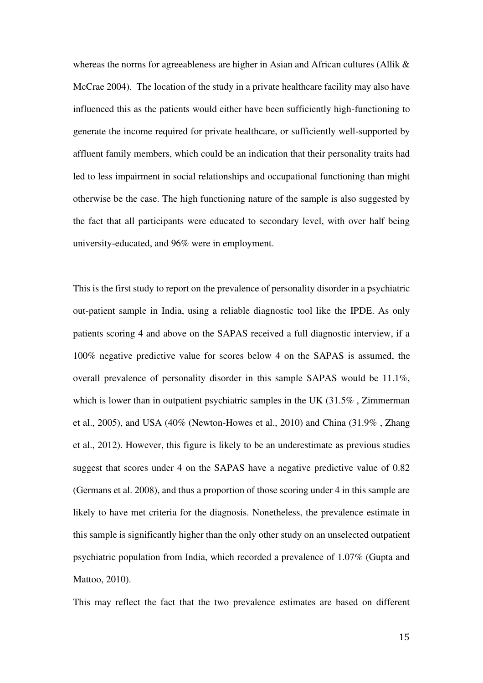whereas the norms for agreeableness are higher in Asian and African cultures (Allik & McCrae 2004). The location of the study in a private healthcare facility may also have influenced this as the patients would either have been sufficiently high-functioning to generate the income required for private healthcare, or sufficiently well-supported by affluent family members, which could be an indication that their personality traits had led to less impairment in social relationships and occupational functioning than might otherwise be the case. The high functioning nature of the sample is also suggested by the fact that all participants were educated to secondary level, with over half being university-educated, and 96% were in employment.

This is the first study to report on the prevalence of personality disorder in a psychiatric out-patient sample in India, using a reliable diagnostic tool like the IPDE. As only patients scoring 4 and above on the SAPAS received a full diagnostic interview, if a 100% negative predictive value for scores below 4 on the SAPAS is assumed, the overall prevalence of personality disorder in this sample SAPAS would be 11.1%, which is lower than in outpatient psychiatric samples in the UK (31.5%, Zimmerman et al., 2005), and USA (40% (Newton-Howes et al., 2010) and China (31.9% , Zhang et al., 2012). However, this figure is likely to be an underestimate as previous studies suggest that scores under 4 on the SAPAS have a negative predictive value of 0.82 (Germans et al. 2008), and thus a proportion of those scoring under 4 in this sample are likely to have met criteria for the diagnosis. Nonetheless, the prevalence estimate in this sample is significantly higher than the only other study on an unselected outpatient psychiatric population from India, which recorded a prevalence of 1.07% (Gupta and Mattoo, 2010).

This may reflect the fact that the two prevalence estimates are based on different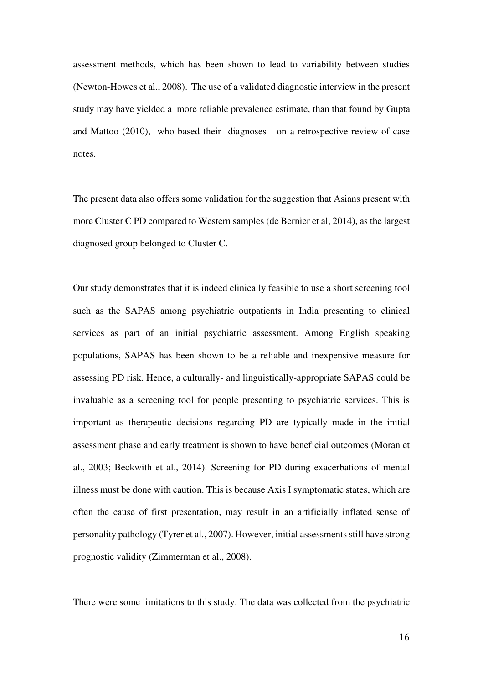assessment methods, which has been shown to lead to variability between studies (Newton-Howes et al., 2008). The use of a validated diagnostic interview in the present study may have yielded a more reliable prevalence estimate, than that found by Gupta and Mattoo (2010), who based their diagnoses on a retrospective review of case notes.

The present data also offers some validation for the suggestion that Asians present with more Cluster C PD compared to Western samples (de Bernier et al, 2014), as the largest diagnosed group belonged to Cluster C.

Our study demonstrates that it is indeed clinically feasible to use a short screening tool such as the SAPAS among psychiatric outpatients in India presenting to clinical services as part of an initial psychiatric assessment. Among English speaking populations, SAPAS has been shown to be a reliable and inexpensive measure for assessing PD risk. Hence, a culturally- and linguistically-appropriate SAPAS could be invaluable as a screening tool for people presenting to psychiatric services. This is important as therapeutic decisions regarding PD are typically made in the initial assessment phase and early treatment is shown to have beneficial outcomes (Moran et al., 2003; Beckwith et al., 2014). Screening for PD during exacerbations of mental illness must be done with caution. This is because Axis I symptomatic states, which are often the cause of first presentation, may result in an artificially inflated sense of personality pathology (Tyrer et al., 2007). However, initial assessments still have strong prognostic validity (Zimmerman et al., 2008).

There were some limitations to this study. The data was collected from the psychiatric

16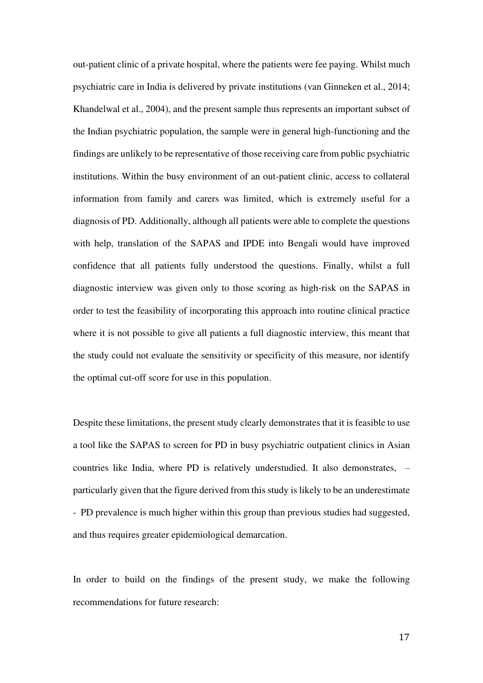out-patient clinic of a private hospital, where the patients were fee paying. Whilst much psychiatric care in India is delivered by private institutions (van Ginneken et al., 2014; Khandelwal et al., 2004), and the present sample thus represents an important subset of the Indian psychiatric population, the sample were in general high-functioning and the findings are unlikely to be representative of those receiving care from public psychiatric institutions. Within the busy environment of an out-patient clinic, access to collateral information from family and carers was limited, which is extremely useful for a diagnosis of PD. Additionally, although all patients were able to complete the questions with help, translation of the SAPAS and IPDE into Bengali would have improved confidence that all patients fully understood the questions. Finally, whilst a full diagnostic interview was given only to those scoring as high-risk on the SAPAS in order to test the feasibility of incorporating this approach into routine clinical practice where it is not possible to give all patients a full diagnostic interview, this meant that the study could not evaluate the sensitivity or specificity of this measure, nor identify the optimal cut-off score for use in this population.

Despite these limitations, the present study clearly demonstrates that it is feasible to use a tool like the SAPAS to screen for PD in busy psychiatric outpatient clinics in Asian countries like India, where PD is relatively understudied. It also demonstrates, – particularly given that the figure derived from this study is likely to be an underestimate - PD prevalence is much higher within this group than previous studies had suggested, and thus requires greater epidemiological demarcation.

In order to build on the findings of the present study, we make the following recommendations for future research: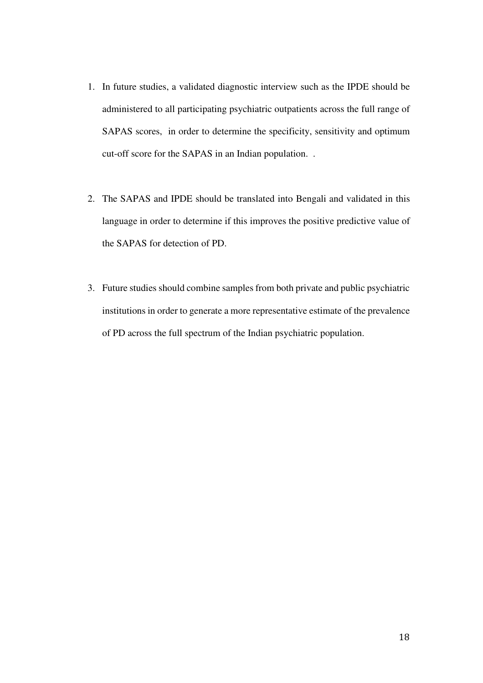- 1. In future studies, a validated diagnostic interview such as the IPDE should be administered to all participating psychiatric outpatients across the full range of SAPAS scores, in order to determine the specificity, sensitivity and optimum cut-off score for the SAPAS in an Indian population. .
- 2. The SAPAS and IPDE should be translated into Bengali and validated in this language in order to determine if this improves the positive predictive value of the SAPAS for detection of PD.
- 3. Future studies should combine samples from both private and public psychiatric institutions in order to generate a more representative estimate of the prevalence of PD across the full spectrum of the Indian psychiatric population.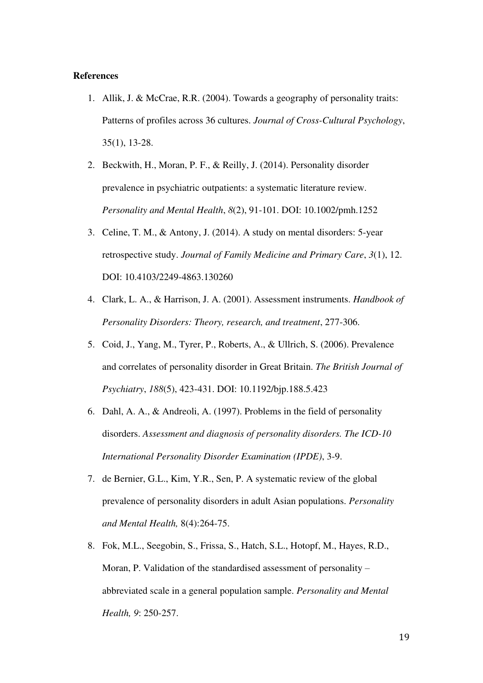# **References**

- 1. Allik, J. & McCrae, R.R. (2004). Towards a geography of personality traits: Patterns of profiles across 36 cultures. *Journal of Cross-Cultural Psychology*, 35(1), 13-28.
- 2. Beckwith, H., Moran, P. F., & Reilly, J. (2014). Personality disorder prevalence in psychiatric outpatients: a systematic literature review. *Personality and Mental Health*, *8*(2), 91-101. DOI: 10.1002/pmh.1252
- 3. Celine, T. M., & Antony, J. (2014). A study on mental disorders: 5-year retrospective study. *Journal of Family Medicine and Primary Care*, *3*(1), 12. DOI: 10.4103/2249-4863.130260
- 4. Clark, L. A., & Harrison, J. A. (2001). Assessment instruments. *Handbook of Personality Disorders: Theory, research, and treatment*, 277-306.
- 5. Coid, J., Yang, M., Tyrer, P., Roberts, A., & Ullrich, S. (2006). Prevalence and correlates of personality disorder in Great Britain. *The British Journal of Psychiatry*, *188*(5), 423-431. DOI: 10.1192/bjp.188.5.423
- 6. Dahl, A. A., & Andreoli, A. (1997). Problems in the field of personality disorders. *Assessment and diagnosis of personality disorders. The ICD-10 International Personality Disorder Examination (IPDE)*, 3-9.
- 7. de Bernier, G.L., Kim, Y.R., Sen, P. A systematic review of the global prevalence of personality disorders in adult Asian populations. *Personality and Mental Health,* 8(4):264-75.
- 8. Fok, M.L., Seegobin, S., Frissa, S., Hatch, S.L., Hotopf, M., Hayes, R.D., Moran, P. Validation of the standardised assessment of personality – abbreviated scale in a general population sample. *Personality and Mental Health, 9*: 250-257.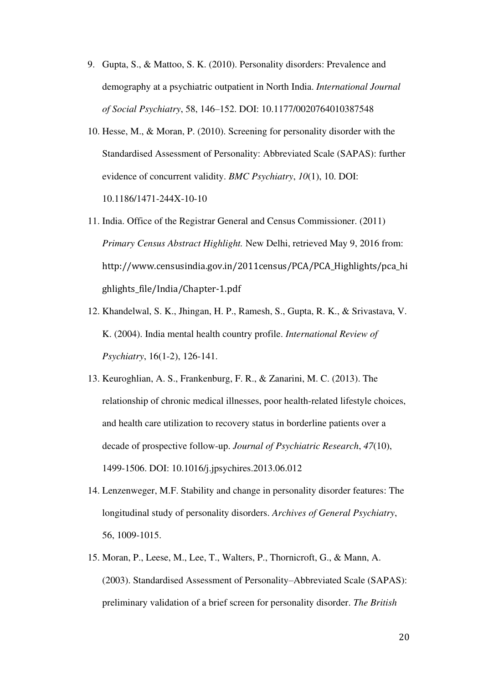- 9. Gupta, S., & Mattoo, S. K. (2010). Personality disorders: Prevalence and demography at a psychiatric outpatient in North India. *International Journal of Social Psychiatry*, 58, 146–152. DOI: 10.1177/0020764010387548
- 10. Hesse, M., & Moran, P. (2010). Screening for personality disorder with the Standardised Assessment of Personality: Abbreviated Scale (SAPAS): further evidence of concurrent validity. *BMC Psychiatry*, *10*(1), 10. DOI: 10.1186/1471-244X-10-10
- 11. India. Office of the Registrar General and Census Commissioner. (2011) *Primary Census Abstract Highlight.* New Delhi, retrieved May 9, 2016 from: http://www.censusindia.gov.in/2011census/PCA/PCA\_Highlights/pca\_hi ghlights\_file/India/Chapter-1.pdf
- 12. Khandelwal, S. K., Jhingan, H. P., Ramesh, S., Gupta, R. K., & Srivastava, V. K. (2004). India mental health country profile. *International Review of Psychiatry*, 16(1-2), 126-141.
- 13. Keuroghlian, A. S., Frankenburg, F. R., & Zanarini, M. C. (2013). The relationship of chronic medical illnesses, poor health-related lifestyle choices, and health care utilization to recovery status in borderline patients over a decade of prospective follow-up. *Journal of Psychiatric Research*, *47*(10), 1499-1506. DOI: 10.1016/j.jpsychires.2013.06.012
- 14. Lenzenweger, M.F. Stability and change in personality disorder features: The longitudinal study of personality disorders. *Archives of General Psychiatry*, 56, 1009-1015.
- 15. Moran, P., Leese, M., Lee, T., Walters, P., Thornicroft, G., & Mann, A. (2003). Standardised Assessment of Personality–Abbreviated Scale (SAPAS): preliminary validation of a brief screen for personality disorder. *The British*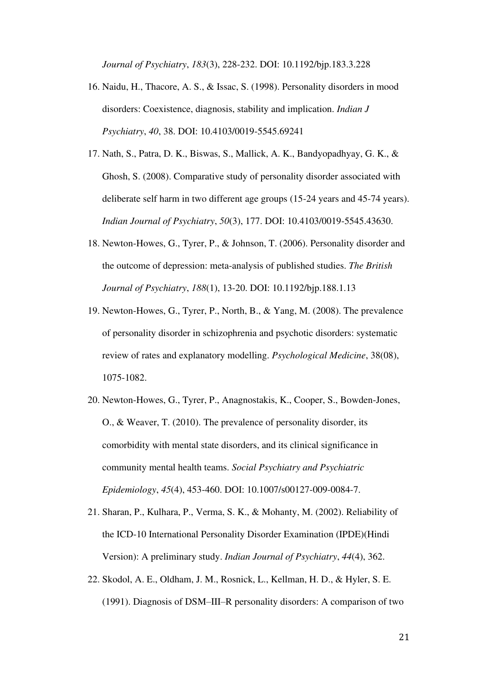*Journal of Psychiatry*, *183*(3), 228-232. DOI: 10.1192/bjp.183.3.228

- 16. Naidu, H., Thacore, A. S., & Issac, S. (1998). Personality disorders in mood disorders: Coexistence, diagnosis, stability and implication. *Indian J Psychiatry*, *40*, 38. DOI: 10.4103/0019-5545.69241
- 17. Nath, S., Patra, D. K., Biswas, S., Mallick, A. K., Bandyopadhyay, G. K., & Ghosh, S. (2008). Comparative study of personality disorder associated with deliberate self harm in two different age groups (15-24 years and 45-74 years). *Indian Journal of Psychiatry*, *50*(3), 177. DOI: 10.4103/0019-5545.43630.
- 18. Newton-Howes, G., Tyrer, P., & Johnson, T. (2006). Personality disorder and the outcome of depression: meta-analysis of published studies. *The British Journal of Psychiatry*, *188*(1), 13-20. DOI: 10.1192/bjp.188.1.13
- 19. Newton-Howes, G., Tyrer, P., North, B., & Yang, M. (2008). The prevalence of personality disorder in schizophrenia and psychotic disorders: systematic review of rates and explanatory modelling. *Psychological Medicine*, 38(08), 1075-1082.
- 20. Newton-Howes, G., Tyrer, P., Anagnostakis, K., Cooper, S., Bowden-Jones, O., & Weaver, T. (2010). The prevalence of personality disorder, its comorbidity with mental state disorders, and its clinical significance in community mental health teams. *Social Psychiatry and Psychiatric Epidemiology*, *45*(4), 453-460. DOI: 10.1007/s00127-009-0084-7.
- 21. Sharan, P., Kulhara, P., Verma, S. K., & Mohanty, M. (2002). Reliability of the ICD-10 International Personality Disorder Examination (IPDE)(Hindi Version): A preliminary study. *Indian Journal of Psychiatry*, *44*(4), 362.
- 22. Skodol, A. E., Oldham, J. M., Rosnick, L., Kellman, H. D., & Hyler, S. E. (1991). Diagnosis of DSM–III–R personality disorders: A comparison of two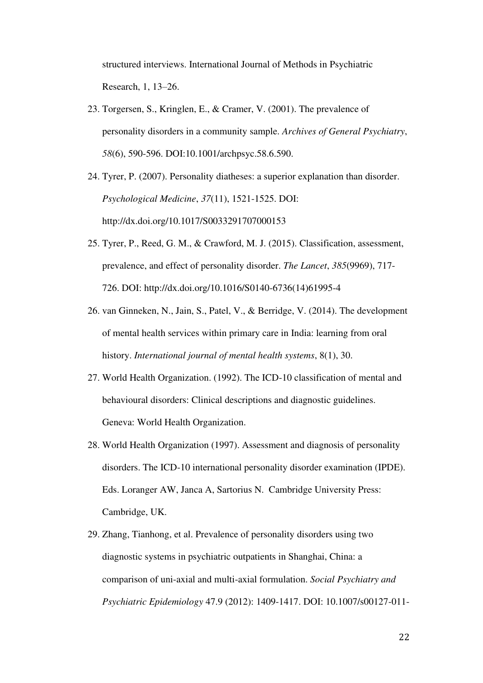structured interviews. International Journal of Methods in Psychiatric Research, 1, 13–26.

- 23. Torgersen, S., Kringlen, E., & Cramer, V. (2001). The prevalence of personality disorders in a community sample. *Archives of General Psychiatry*, *58*(6), 590-596. DOI:10.1001/archpsyc.58.6.590.
- 24. Tyrer, P. (2007). Personality diatheses: a superior explanation than disorder. *Psychological Medicine*, *37*(11), 1521-1525. DOI: http://dx.doi.org/10.1017/S0033291707000153
- 25. Tyrer, P., Reed, G. M., & Crawford, M. J. (2015). Classification, assessment, prevalence, and effect of personality disorder. *The Lancet*, *385*(9969), 717- 726. DOI: http://dx.doi.org/10.1016/S0140-6736(14)61995-4
- 26. van Ginneken, N., Jain, S., Patel, V., & Berridge, V. (2014). The development of mental health services within primary care in India: learning from oral history. *International journal of mental health systems*, 8(1), 30.
- 27. World Health Organization. (1992). The ICD-10 classification of mental and behavioural disorders: Clinical descriptions and diagnostic guidelines. Geneva: World Health Organization.
- 28. World Health Organization (1997). Assessment and diagnosis of personality disorders. The ICD-10 international personality disorder examination (IPDE). Eds. Loranger AW, Janca A, Sartorius N. Cambridge University Press: Cambridge, UK.
- 29. Zhang, Tianhong, et al. Prevalence of personality disorders using two diagnostic systems in psychiatric outpatients in Shanghai, China: a comparison of uni-axial and multi-axial formulation. *Social Psychiatry and Psychiatric Epidemiology* 47.9 (2012): 1409-1417. DOI: 10.1007/s00127-011-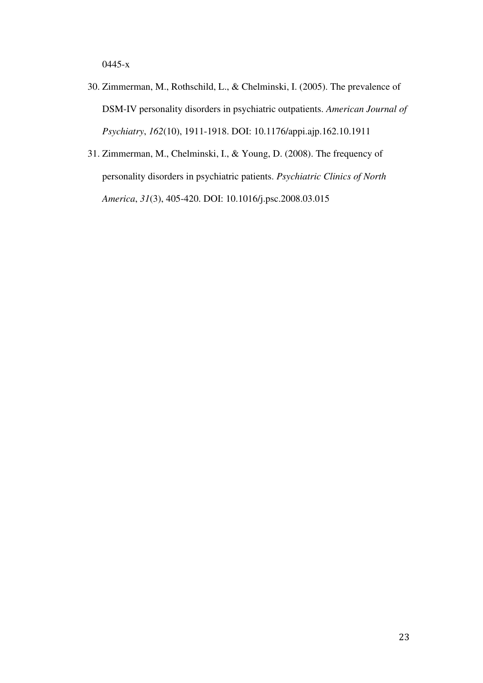0445-x

- 30. Zimmerman, M., Rothschild, L., & Chelminski, I. (2005). The prevalence of DSM-IV personality disorders in psychiatric outpatients. *American Journal of Psychiatry*, *162*(10), 1911-1918. DOI: 10.1176/appi.ajp.162.10.1911
- 31. Zimmerman, M., Chelminski, I., & Young, D. (2008). The frequency of personality disorders in psychiatric patients. *Psychiatric Clinics of North America*, *31*(3), 405-420. DOI: 10.1016/j.psc.2008.03.015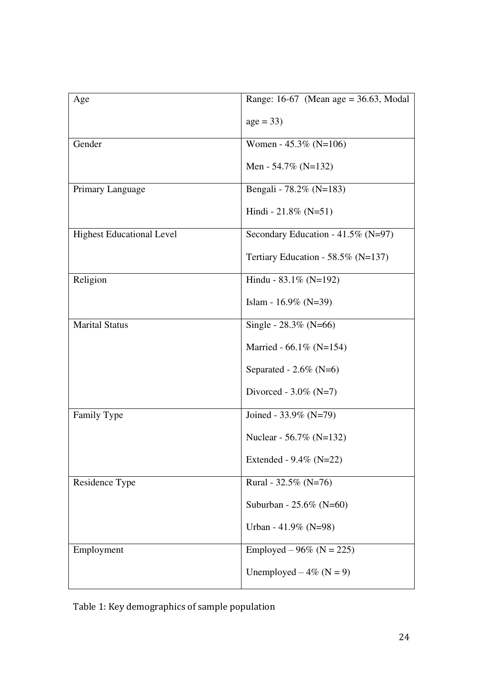| Age                              | Range: $16-67$ (Mean age = $36.63$ , Modal |
|----------------------------------|--------------------------------------------|
|                                  | $age = 33)$                                |
| Gender                           | Women - 45.3% (N=106)                      |
|                                  | Men - 54.7% (N=132)                        |
| Primary Language                 | Bengali - 78.2% (N=183)                    |
|                                  | Hindi - 21.8% (N=51)                       |
| <b>Highest Educational Level</b> | Secondary Education - 41.5% (N=97)         |
|                                  | Tertiary Education - 58.5% ( $N=137$ )     |
| Religion                         | Hindu - $83.1\%$ (N=192)                   |
|                                  | Islam - $16.9\%$ (N=39)                    |
| <b>Marital Status</b>            | Single - $28.3\%$ (N=66)                   |
|                                  | Married - $66.1\%$ (N=154)                 |
|                                  | Separated - $2.6\%$ (N=6)                  |
|                                  | Divorced - $3.0\%$ (N=7)                   |
| Family Type                      | Joined - $33.9\%$ (N=79)                   |
|                                  | Nuclear - 56.7% (N=132)                    |
|                                  | Extended - $9.4\%$ (N=22)                  |
| Residence Type                   | Rural - 32.5% (N=76)                       |
|                                  | Suburban - 25.6% (N=60)                    |
|                                  | Urban - 41.9% (N=98)                       |
| Employment                       | Employed – 96% ( $N = 225$ )               |
|                                  | Unemployed $-4\%$ (N = 9)                  |

Table 1: Key demographics of sample population